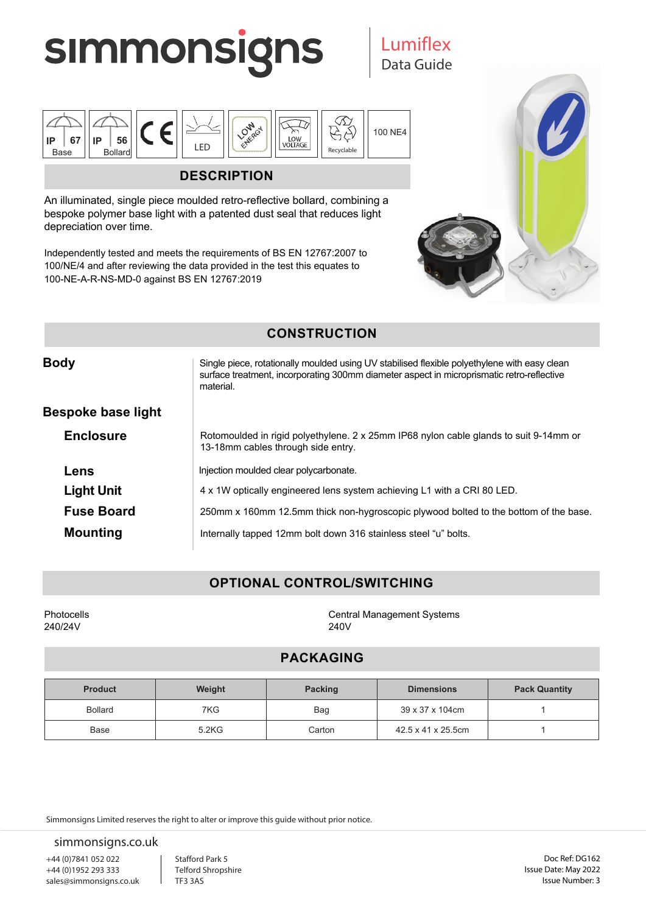

Data Guide Lumiflex



## **DESCRIPTION**

An illuminated, single piece moulded retro-reflective bollard, combining a bespoke polymer base light with a patented dust seal that reduces light depreciation over time.

Independently tested and meets the requirements of BS EN 12767:2007 to 100/NE/4 and after reviewing the data provided in the test this equates to 100-NE-A-R-NS-MD-0 against BS EN 12767:2019



## **CONSTRUCTION**

| <b>Body</b>        | Single piece, rotationally moulded using UV stabilised flexible polyethylene with easy clean<br>surface treatment, incorporating 300mm diameter aspect in microprismatic retro-reflective<br>material. |  |
|--------------------|--------------------------------------------------------------------------------------------------------------------------------------------------------------------------------------------------------|--|
| Bespoke base light |                                                                                                                                                                                                        |  |
| <b>Enclosure</b>   | Rotomoulded in rigid polyethylene. 2 x 25mm IP68 nylon cable glands to suit 9-14mm or<br>13-18mm cables through side entry.                                                                            |  |
| Lens               | Injection moulded clear polycarbonate.                                                                                                                                                                 |  |
| <b>Light Unit</b>  | 4 x 1W optically engineered lens system achieving L1 with a CRI 80 LED.                                                                                                                                |  |
| <b>Fuse Board</b>  | 250mm x 160mm 12.5mm thick non-hygroscopic plywood bolted to the bottom of the base.                                                                                                                   |  |
| <b>Mounting</b>    | Internally tapped 12mm bolt down 316 stainless steel "u" bolts.                                                                                                                                        |  |

# **OPTIONAL CONTROL/SWITCHING**

Photocells 240/24V

Central Management Systems 240V

# **PACKAGING**

| <b>Product</b> | Weight | <b>Packing</b> | <b>Dimensions</b>  | <b>Pack Quantity</b> |
|----------------|--------|----------------|--------------------|----------------------|
| <b>Bollard</b> | 7KG    | Bag            | 39 x 37 x 104cm    |                      |
| Base           | 5.2KG  | Carton         | 42.5 x 41 x 25.5cm |                      |

Simmonsigns Limited reserves the right to alter or improve this guide without prior notice.

simmonsigns.co.uk

+44 (0)7841 052 022 +44 (0)1952 293 333 sales@simmonsigns.co.uk Stafford Park 5 Telford Shropshire TF3 3AS

Doc Ref: DG162 Issue Date: May 2022 Issue Number: 3